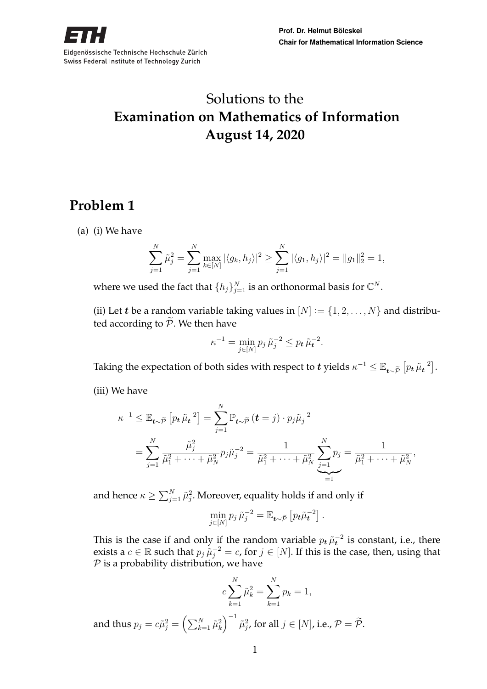

# Solutions to the **Examination on Mathematics of Information August 14, 2020**

# **Problem 1**

(a) (i) We have

$$
\sum_{j=1}^{N} \tilde{\mu}_j^2 = \sum_{j=1}^{N} \max_{k \in [N]} |\langle g_k, h_j \rangle|^2 \ge \sum_{j=1}^{N} |\langle g_1, h_j \rangle|^2 = ||g_1||_2^2 = 1,
$$

where we used the fact that  $\{h_j\}_{j=1}^N$  is an orthonormal basis for  $\mathbb{C}^N.$ 

(ii) Let *t* be a random variable taking values in  $[N] := \{1, 2, ..., N\}$  and distributed according to  $\widetilde{\mathcal{P}}$ . We then have

$$
\kappa^{-1} = \min_{j \in [N]} p_j \, \tilde{\mu}_j^{-2} \le p_t \, \tilde{\mu}_t^{-2}.
$$

Taking the expectation of both sides with respect to  $t$  yields  $\kappa^{-1} \leq \mathbb{E}_{t \sim \widetilde{\mathcal{P}}}\left[ p_t \, \widetilde{\mu}_t^{-2} \right].$ 

(iii) We have

$$
\kappa^{-1} \leq \mathbb{E}_{t \sim \widetilde{\mathcal{P}}}\left[p_t \tilde{\mu}_t^{-2}\right] = \sum_{j=1}^N \mathbb{P}_{t \sim \widetilde{\mathcal{P}}}(t = j) \cdot p_j \tilde{\mu}_j^{-2}
$$
  
= 
$$
\sum_{j=1}^N \frac{\tilde{\mu}_j^2}{\tilde{\mu}_1^2 + \dots + \tilde{\mu}_N^2} p_j \tilde{\mu}_j^{-2} = \frac{1}{\tilde{\mu}_1^2 + \dots + \tilde{\mu}_N^2} \sum_{j=1}^N p_j = \frac{1}{\tilde{\mu}_1^2 + \dots + \tilde{\mu}_N^2},
$$

and hence  $\kappa \geq \sum_{j=1}^N \tilde{\mu}_j^2$ . Moreover, equality holds if and only if

$$
\min_{j\in[N]} p_j \tilde{\mu}_j^{-2} = \mathbb{E}_{\boldsymbol{t}\sim\widetilde{\mathcal{P}}}\left[p_{\boldsymbol{t}}\tilde{\mu}_{\boldsymbol{t}}^{-2}\right].
$$

This is the case if and only if the random variable  $p_t \tilde{\mu}_t^{-2}$  is constant, i.e., there exists a  $c \in \mathbb{R}$  such that  $p_j \tilde{\mu}_j^{-2} = c$ , for  $j \in [N]$ . If this is the case, then, using that  $P$  is a probability distribution, we have

$$
c\sum_{k=1}^{N} \tilde{\mu}_k^2 = \sum_{k=1}^{N} p_k = 1,
$$
  
and thus  $p_j = c\tilde{\mu}_j^2 = \left(\sum_{k=1}^{N} \tilde{\mu}_k^2\right)^{-1} \tilde{\mu}_j^2$ , for all  $j \in [N]$ , i.e.,  $\mathcal{P} = \tilde{\mathcal{P}}$ .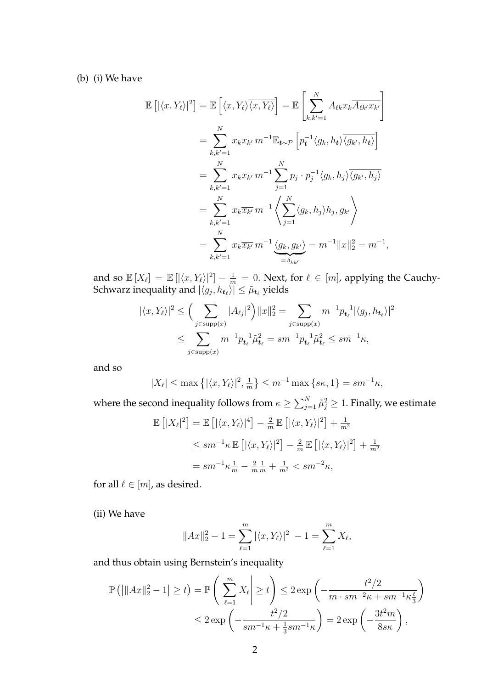(b) (i) We have

E

$$
[|\langle x, Y_{\ell} \rangle|^{2}] = \mathbb{E} \left[ \langle x, Y_{\ell} \rangle \overline{\langle x, Y_{\ell} \rangle} \right] = \mathbb{E} \left[ \sum_{k,k'=1}^{N} A_{\ell k} x_{k} \overline{A_{\ell k'} x_{k'}} \right]
$$
  
\n
$$
= \sum_{k,k'=1}^{N} x_{k} \overline{x_{k'}} \, m^{-1} \mathbb{E}_{t \sim \mathcal{P}} \left[ p_{t}^{-1} \langle g_{k}, h_{t} \rangle \overline{\langle g_{k'}, h_{t} \rangle} \right]
$$
  
\n
$$
= \sum_{k,k'=1}^{N} x_{k} \overline{x_{k'}} \, m^{-1} \sum_{j=1}^{N} p_{j} \cdot p_{j}^{-1} \langle g_{k}, h_{j} \rangle \overline{\langle g_{k'}, h_{j} \rangle}
$$
  
\n
$$
= \sum_{k,k'=1}^{N} x_{k} \overline{x_{k'}} \, m^{-1} \left\langle \sum_{j=1}^{N} \langle g_{k}, h_{j} \rangle h_{j}, g_{k'} \right\rangle
$$
  
\n
$$
= \sum_{k,k'=1}^{N} x_{k} \overline{x_{k'}} \, m^{-1} \underbrace{\langle g_{k}, g_{k'} \rangle}_{= \delta_{kk'}}
$$
  
\n
$$
= m^{-1} \|x\|_{2}^{2} = m^{-1},
$$

and so  $\mathbb{E}[X_\ell] = \mathbb{E}[|\langle x, Y_\ell\rangle|^2] - \frac{1}{m} = 0$ . Next, for  $\ell \in [m]$ , applying the Cauchy-Schwarz inequality and  $|\langle g_j, h_{\bm{t}_\ell} \rangle| \leq \tilde{\mu}_{\bm{t}_\ell}$  yields

$$
|\langle x, Y_{\ell} \rangle|^{2} \leq \Big( \sum_{j \in \text{supp}(x)} |A_{\ell j}|^{2} \Big) \|x\|_{2}^{2} = \sum_{j \in \text{supp}(x)} m^{-1} p_{t_{\ell}}^{-1} |\langle g_{j}, h_{t_{\ell}} \rangle|^{2}
$$
  

$$
\leq \sum_{j \in \text{supp}(x)} m^{-1} p_{t_{\ell}}^{-1} \tilde{\mu}_{t_{\ell}}^{2} = sm^{-1} p_{t_{\ell}}^{-1} \tilde{\mu}_{t_{\ell}}^{2} \leq sm^{-1} \kappa,
$$

and so

$$
|X_{\ell}| \le \max\left\{ |\langle x, Y_{\ell} \rangle|^2, \frac{1}{m} \right\} \le m^{-1} \max\left\{ s\kappa, 1 \right\} = sm^{-1}\kappa,
$$

where the second inequality follows from  $\kappa \geq \sum_{j=1}^N \tilde{\mu}_j^2 \geq 1.$  Finally, we estimate

$$
\mathbb{E}\left[|X_{\ell}|^{2}\right] = \mathbb{E}\left[|\langle x, Y_{\ell}\rangle|^{4}\right] - \frac{2}{m}\mathbb{E}\left[|\langle x, Y_{\ell}\rangle|^{2}\right] + \frac{1}{m^{2}}
$$
  
\n
$$
\leq sm^{-1}\kappa \mathbb{E}\left[|\langle x, Y_{\ell}\rangle|^{2}\right] - \frac{2}{m}\mathbb{E}\left[|\langle x, Y_{\ell}\rangle|^{2}\right] + \frac{1}{m^{2}}
$$
  
\n
$$
= sm^{-1}\kappa \frac{1}{m} - \frac{2}{m}\frac{1}{m} + \frac{1}{m^{2}} < sm^{-2}\kappa,
$$

for all  $\ell \in [m]$ , as desired.

(ii) We have

$$
||Ax||_2^2 - 1 = \sum_{\ell=1}^m |\langle x, Y_\ell \rangle|^2 - 1 = \sum_{\ell=1}^m X_\ell,
$$

and thus obtain using Bernstein's inequality

$$
\mathbb{P}\left(\left|\|Ax\|_{2}^{2}-1\right|\geq t\right) = \mathbb{P}\left(\left|\sum_{\ell=1}^{m}X_{\ell}\right|\geq t\right) \leq 2\exp\left(-\frac{t^{2}/2}{m\cdot sm^{-2}\kappa+sm^{-1}\kappa\frac{t}{3}}\right)
$$

$$
\leq 2\exp\left(-\frac{t^{2}/2}{sm^{-1}\kappa+\frac{1}{3}sm^{-1}\kappa}\right) = 2\exp\left(-\frac{3t^{2}m}{8s\kappa}\right),
$$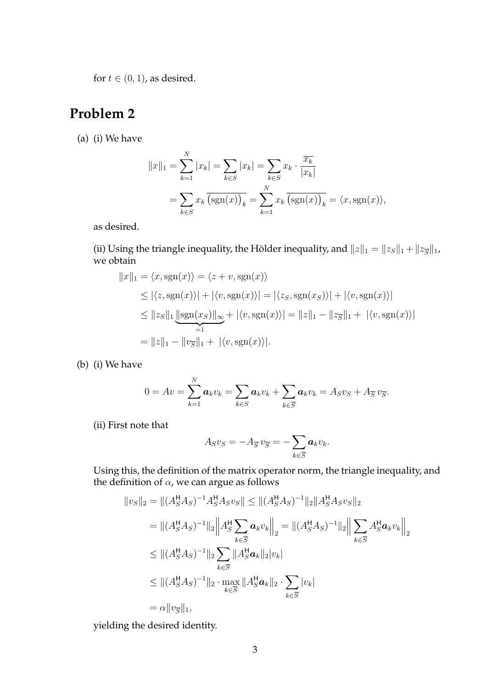for  $t \in (0, 1)$ , as desired.

## **Problem 2**

(a) (i) We have

$$
||x||_1 = \sum_{k=1}^{N} |x_k| = \sum_{k \in S} |x_k| = \sum_{k \in S} x_k \cdot \frac{\overline{x_k}}{|x_k|}
$$
  
= 
$$
\sum_{k \in S} x_k \overline{\left(\text{sgn}(x)\right)_k} = \sum_{k=1}^{N} x_k \overline{\left(\text{sgn}(x)\right)_k} = \langle x, \text{sgn}(x) \rangle,
$$

as desired.

(ii) Using the triangle inequality, the Hölder inequality, and  $||z||_1 = ||z_S||_1 + ||z_{\overline{S}}||_1$ , we obtain

$$
||x||_1 = \langle x, \text{sgn}(x) \rangle = \langle z + v, \text{sgn}(x) \rangle
$$
  
\n
$$
\leq |\langle z, \text{sgn}(x) \rangle| + |\langle v, \text{sgn}(x) \rangle| = |\langle z_S, \text{sgn}(x_S) \rangle| + |\langle v, \text{sgn}(x) \rangle|
$$
  
\n
$$
\leq ||z_S||_1 \underbrace{||\text{sgn}(x_S)||_{\infty}}_{=1} + |\langle v, \text{sgn}(x) \rangle| = ||z||_1 - ||z_{\overline{S}}||_1 + |\langle v, \text{sgn}(x) \rangle|
$$
  
\n
$$
= ||z||_1 - ||v_{\overline{S}}||_1 + |\langle v, \text{sgn}(x) \rangle|.
$$

(b) (i) We have

$$
0 = Av = \sum_{k=1}^N a_k v_k = \sum_{k \in S} a_k v_k + \sum_{k \in \overline{S}} a_k v_k = A_S v_S + A_{\overline{S}} v_{\overline{S}}.
$$

(ii) First note that

$$
A_S v_S = -A_{\overline{S}} v_{\overline{S}} = -\sum_{k \in \overline{S}} a_k v_k.
$$

Using this, the definition of the matrix operator norm, the triangle inequality, and the definition of  $\alpha$ , we can argue as follows

$$
||v_S||_2 = ||(A_S^{\mathsf{H}} A_S)^{-1} A_S^{\mathsf{H}} A_S v_S|| \le ||(A_S^{\mathsf{H}} A_S)^{-1}||_2 ||A_S^{\mathsf{H}} A_S v_S||_2
$$
  
\n
$$
= ||(A_S^{\mathsf{H}} A_S)^{-1}||_2 ||A_S^{\mathsf{H}} \sum_{k \in \overline{S}} a_k v_k ||_2 = ||(A_S^{\mathsf{H}} A_S)^{-1}||_2 ||\sum_{k \in \overline{S}} A_S^{\mathsf{H}} a_k v_k ||_2
$$
  
\n
$$
\le ||(A_S^{\mathsf{H}} A_S)^{-1}||_2 \sum_{k \in \overline{S}} ||A_S^{\mathsf{H}} a_k||_2 |v_k|
$$
  
\n
$$
\le ||(A_S^{\mathsf{H}} A_S)^{-1}||_2 \cdot \max_{k \in \overline{S}} ||A_S^{\mathsf{H}} a_k||_2 \cdot \sum_{k \in \overline{S}} |v_k|
$$
  
\n
$$
= \alpha ||v_{\overline{S}}||_1,
$$

yielding the desired identity.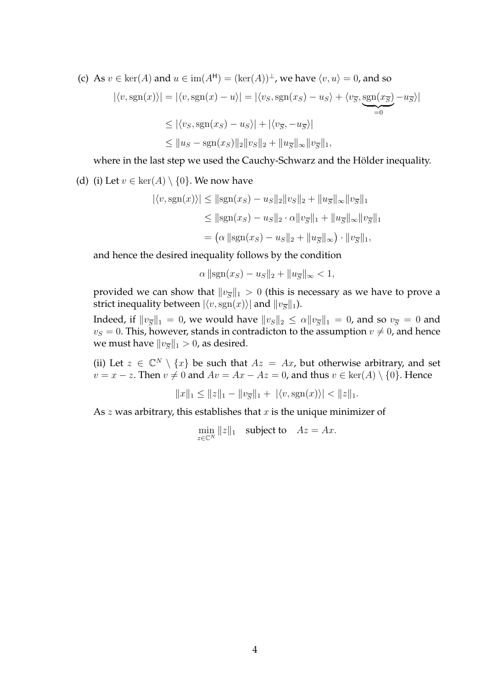(c) As  $v \in \text{ker}(A)$  and  $u \in \text{im}(A^{\mathsf{H}}) = (\text{ker}(A))^{\perp}$ , we have  $\langle v, u \rangle = 0$ , and so

$$
|\langle v, \text{sgn}(x) \rangle| = |\langle v, \text{sgn}(x) - u \rangle| = |\langle v_S, \text{sgn}(x_S) - u_S \rangle + \langle v_{\overline{S}}, \underbrace{\text{sgn}(x_{\overline{S}})}_{=0} - u_{\overline{S}} \rangle|
$$
  
\n
$$
\leq |\langle v_S, \text{sgn}(x_S) - u_S \rangle| + |\langle v_{\overline{S}}, -u_{\overline{S}} \rangle|
$$
  
\n
$$
\leq ||u_S - \text{sgn}(x_S)||_2 ||v_S||_2 + ||u_{\overline{S}}||_{\infty} ||v_{\overline{S}}||_1,
$$

where in the last step we used the Cauchy-Schwarz and the Hölder inequality.

(d) (i) Let  $v \in \text{ker}(A) \setminus \{0\}$ . We now have

$$
|\langle v, \text{sgn}(x) \rangle| \le ||\text{sgn}(x_S) - u_S||_2 ||v_S||_2 + ||u_{\overline{S}}||_{\infty} ||v_{\overline{S}}||_1
$$
  

$$
\le ||\text{sgn}(x_S) - u_S||_2 \cdot \alpha ||v_{\overline{S}}||_1 + ||u_{\overline{S}}||_{\infty} ||v_{\overline{S}}||_1
$$
  

$$
= (\alpha ||\text{sgn}(x_S) - u_S||_2 + ||u_{\overline{S}}||_{\infty}) \cdot ||v_{\overline{S}}||_1,
$$

and hence the desired inequality follows by the condition

$$
\alpha \|\text{sgn}(x_S) - u_S\|_2 + \|u_{\overline{S}}\|_{\infty} < 1,
$$

provided we can show that  $\|v_{\overline{S}}\|_1 > 0$  (this is necessary as we have to prove a strict inequality between  $|\langle v, \mathrm{sgn}(x)\rangle|$  and  $\|v_{\overline{S}}\|_1$ ).

Indeed, if  $\|v_{\overline{S}}\|_1 = 0$ , we would have  $\|v_S\|_2 \leq \alpha \|v_{\overline{S}}\|_1 = 0$ , and so  $v_{\overline{S}} = 0$  and  $v_S = 0$ . This, however, stands in contradicton to the assumption  $v \neq 0$ , and hence we must have  $\|v_{\overline{S}}\|_1 > 0$ , as desired.

(ii) Let  $z \in \mathbb{C}^N \setminus \{x\}$  be such that  $Az = Ax$ , but otherwise arbitrary, and set  $v = x - z$ . Then  $v \neq 0$  and  $Av = Ax - Az = 0$ , and thus  $v \in \text{ker}(A) \setminus \{0\}$ . Hence

$$
||x||_1 \le ||z||_1 - ||v_{\overline{S}}||_1 + |\langle v, \text{sgn}(x) \rangle| < ||z||_1.
$$

As  $z$  was arbitrary, this establishes that  $x$  is the unique minimizer of

$$
\min_{z \in \mathbb{C}^N} ||z||_1 \quad \text{subject to} \quad Az = Ax.
$$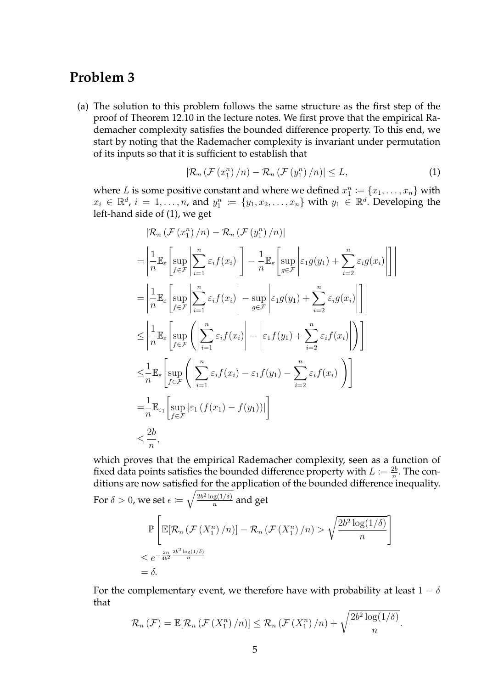### **Problem 3**

(a) The solution to this problem follows the same structure as the first step of the proof of Theorem 12.10 in the lecture notes. We first prove that the empirical Rademacher complexity satisfies the bounded difference property. To this end, we start by noting that the Rademacher complexity is invariant under permutation of its inputs so that it is sufficient to establish that

$$
\left|\mathcal{R}_{n}\left(\mathcal{F}\left(x_{1}^{n}\right)/n\right)-\mathcal{R}_{n}\left(\mathcal{F}\left(y_{1}^{n}\right)/n\right)\right|\leq L,\tag{1}
$$

where L is some positive constant and where we defined  $x_1^n \coloneqq \{x_1, \ldots, x_n\}$  with  $x_i \in \mathbb{R}^d$ ,  $i = 1, \ldots, n$ , and  $y_1^n := \{y_1, x_2, \ldots, x_n\}$  with  $y_1 \in \mathbb{R}^d$ . Developing the left-hand side of (1), we get

$$
|\mathcal{R}_{n}(\mathcal{F}(x_{1}^{n})/n) - \mathcal{R}_{n}(\mathcal{F}(y_{1}^{n})/n)|
$$
\n
$$
= \left| \frac{1}{n} \mathbb{E}_{\varepsilon} \left[ \sup_{f \in \mathcal{F}} \left| \sum_{i=1}^{n} \varepsilon_{i} f(x_{i}) \right| \right] - \frac{1}{n} \mathbb{E}_{\varepsilon} \left[ \sup_{g \in \mathcal{F}} \left| \varepsilon_{1} g(y_{1}) + \sum_{i=2}^{n} \varepsilon_{i} g(x_{i}) \right| \right] \right|
$$
\n
$$
= \left| \frac{1}{n} \mathbb{E}_{\varepsilon} \left[ \sup_{f \in \mathcal{F}} \left| \sum_{i=1}^{n} \varepsilon_{i} f(x_{i}) \right| - \sup_{g \in \mathcal{F}} \left| \varepsilon_{1} g(y_{1}) + \sum_{i=2}^{n} \varepsilon_{i} g(x_{i}) \right| \right] \right|
$$
\n
$$
\leq \left| \frac{1}{n} \mathbb{E}_{\varepsilon} \left[ \sup_{f \in \mathcal{F}} \left( \left| \sum_{i=1}^{n} \varepsilon_{i} f(x_{i}) \right| - \left| \varepsilon_{1} f(y_{1}) + \sum_{i=2}^{n} \varepsilon_{i} f(x_{i}) \right| \right) \right| \right|
$$
\n
$$
\leq \frac{1}{n} \mathbb{E}_{\varepsilon} \left[ \sup_{f \in \mathcal{F}} \left( \left| \sum_{i=1}^{n} \varepsilon_{i} f(x_{i}) - \varepsilon_{1} f(y_{1}) - \sum_{i=2}^{n} \varepsilon_{i} f(x_{i}) \right| \right) \right]
$$
\n
$$
= \frac{1}{n} \mathbb{E}_{\varepsilon_{1}} \left[ \sup_{f \in \mathcal{F}} \left| \varepsilon_{1} (f(x_{1}) - f(y_{1})) \right| \right]
$$
\n
$$
\leq \frac{2b}{n},
$$

which proves that the empirical Rademacher complexity, seen as a function of fixed data points satisfies the bounded difference property with  $L \coloneqq \frac{2b}{n}$  $\frac{2b}{n}$ . The conditions are now satisfied for the application of the bounded difference inequality. For  $\delta > 0$ , we set  $\epsilon \coloneqq \sqrt{\frac{2b^2 \log(1/\delta)}{n}}$  $\frac{\log(1/\theta)}{n}$  and get P  $\sqrt{ }$  $\mathbb{E}[\mathcal{R}_n(\mathcal{F}(X_1^n)/n)] - \mathcal{R}_n(\mathcal{F}(X_1^n)/n) >$  $\sqrt{2b^2\log(1/\delta)}$ n 1  $\leq e^{-\frac{2n}{4b^2}\frac{2b^2\log(1/\delta)}{n}}$ 

For the complementary event, we therefore have with probability at least  $1 - \delta$ that

$$
\mathcal{R}_{n}(\mathcal{F}) = \mathbb{E}[\mathcal{R}_{n}(\mathcal{F}(X_{1}^{n})/n)] \leq \mathcal{R}_{n}(\mathcal{F}(X_{1}^{n})/n) + \sqrt{\frac{2b^{2}\log(1/\delta)}{n}}.
$$

 $=\delta$ .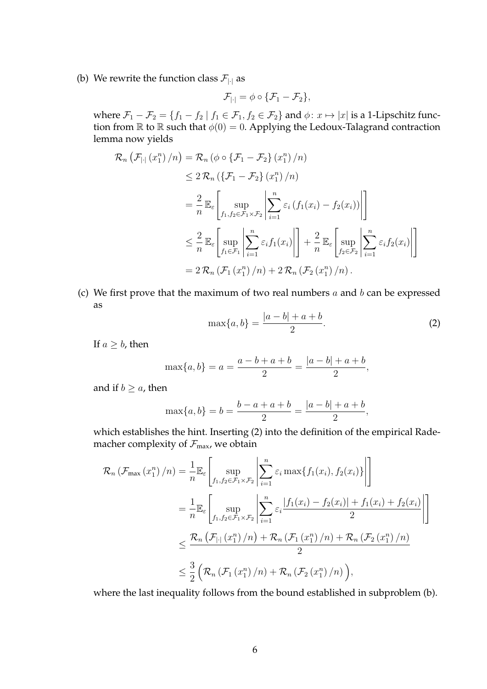(b) We rewrite the function class  $\mathcal{F}_{|\cdot|}$  as

$$
\mathcal{F}_{|\cdot|} = \phi \circ \{ \mathcal{F}_1 - \mathcal{F}_2 \},
$$

where  $\mathcal{F}_1 - \mathcal{F}_2 = \{f_1 - f_2 \mid f_1 \in \mathcal{F}_1, f_2 \in \mathcal{F}_2\}$  and  $\phi: x \mapsto |x|$  is a 1-Lipschitz function from  $\mathbb R$  to  $\mathbb R$  such that  $\phi(0) = 0$ . Applying the Ledoux-Talagrand contraction lemma now yields

$$
\mathcal{R}_{n} \left( \mathcal{F}_{|\cdot|} \left( x_{1}^{n} \right) / n \right) = \mathcal{R}_{n} \left( \phi \circ \{ \mathcal{F}_{1} - \mathcal{F}_{2} \} \left( x_{1}^{n} \right) / n \right)
$$
\n
$$
\leq 2 \mathcal{R}_{n} \left( \{ \mathcal{F}_{1} - \mathcal{F}_{2} \} \left( x_{1}^{n} \right) / n \right)
$$
\n
$$
= \frac{2}{n} \mathbb{E}_{\varepsilon} \left[ \sup_{f_{1}, f_{2} \in \mathcal{F}_{1} \times \mathcal{F}_{2}} \left| \sum_{i=1}^{n} \varepsilon_{i} \left( f_{1}(x_{i}) - f_{2}(x_{i}) \right) \right| \right]
$$
\n
$$
\leq \frac{2}{n} \mathbb{E}_{\varepsilon} \left[ \sup_{f_{1} \in \mathcal{F}_{1}} \left| \sum_{i=1}^{n} \varepsilon_{i} f_{1}(x_{i}) \right| \right] + \frac{2}{n} \mathbb{E}_{\varepsilon} \left[ \sup_{f_{2} \in \mathcal{F}_{2}} \left| \sum_{i=1}^{n} \varepsilon_{i} f_{2}(x_{i}) \right| \right]
$$
\n
$$
= 2 \mathcal{R}_{n} \left( \mathcal{F}_{1} \left( x_{1}^{n} \right) / n \right) + 2 \mathcal{R}_{n} \left( \mathcal{F}_{2} \left( x_{1}^{n} \right) / n \right).
$$

(c) We first prove that the maximum of two real numbers  $a$  and  $b$  can be expressed as

$$
\max\{a, b\} = \frac{|a - b| + a + b}{2}.
$$
 (2)

If  $a \geq b$ , then

$$
\max\{a, b\} = a = \frac{a - b + a + b}{2} = \frac{|a - b| + a + b}{2},
$$

and if  $b \ge a$ , then

$$
\max\{a, b\} = b = \frac{b - a + a + b}{2} = \frac{|a - b| + a + b}{2},
$$

which establishes the hint. Inserting (2) into the definition of the empirical Rademacher complexity of  $\mathcal{F}_{\text{max}}$ , we obtain

$$
\mathcal{R}_{n}(\mathcal{F}_{\max}(x_{1}^{n})/n) = \frac{1}{n} \mathbb{E}_{\varepsilon} \Bigg[ \sup_{f_{1}, f_{2} \in \mathcal{F}_{1} \times \mathcal{F}_{2}} \Bigg| \sum_{i=1}^{n} \varepsilon_{i} \max\{f_{1}(x_{i}), f_{2}(x_{i})\} \Bigg| \Bigg]
$$
  
\n
$$
= \frac{1}{n} \mathbb{E}_{\varepsilon} \Bigg[ \sup_{f_{1}, f_{2} \in \mathcal{F}_{1} \times \mathcal{F}_{2}} \Bigg| \sum_{i=1}^{n} \varepsilon_{i} \frac{|f_{1}(x_{i}) - f_{2}(x_{i})| + f_{1}(x_{i}) + f_{2}(x_{i})|}{2} \Bigg| \Bigg]
$$
  
\n
$$
\leq \frac{\mathcal{R}_{n}(\mathcal{F}_{|\cdot|}(x_{1}^{n})/n) + \mathcal{R}_{n}(\mathcal{F}_{1}(x_{1}^{n})/n) + \mathcal{R}_{n}(\mathcal{F}_{2}(x_{1}^{n})/n)}{2}
$$
  
\n
$$
\leq \frac{3}{2} (\mathcal{R}_{n}(\mathcal{F}_{1}(x_{1}^{n})/n) + \mathcal{R}_{n}(\mathcal{F}_{2}(x_{1}^{n})/n)),
$$

where the last inequality follows from the bound established in subproblem (b).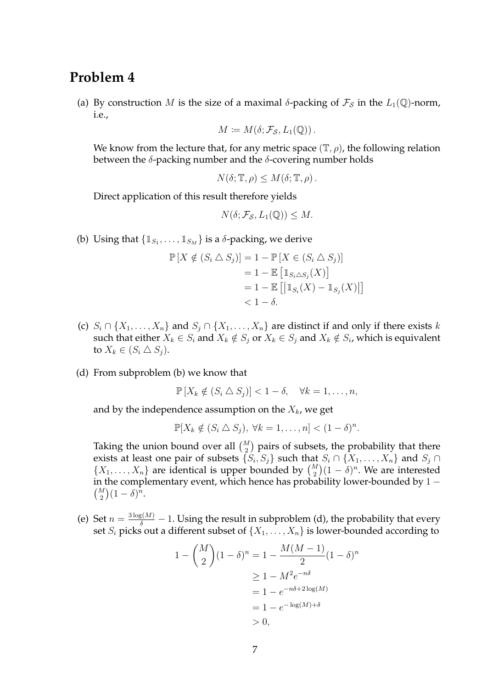### **Problem 4**

(a) By construction M is the size of a maximal  $\delta$ -packing of  $\mathcal{F}_{\mathcal{S}}$  in the  $L_1(\mathbb{Q})$ -norm, i.e.,

$$
M\coloneqq M(\delta; \mathcal{F}_{\mathcal{S}}, L_1(\mathbb{Q})).
$$

We know from the lecture that, for any metric space  $(\mathbb{T}, \rho)$ , the following relation between the  $\delta$ -packing number and the  $\delta$ -covering number holds

$$
N(\delta; \mathbb{T}, \rho) \le M(\delta; \mathbb{T}, \rho).
$$

Direct application of this result therefore yields

$$
N(\delta; \mathcal{F}_{\mathcal{S}}, L_1(\mathbb{Q})) \leq M.
$$

(b) Using that  $\{\mathbb{1}_{S_1}, \ldots, \mathbb{1}_{S_M}\}$  is a  $\delta$ -packing, we derive

$$
\mathbb{P}\left[X \notin (S_i \triangle S_j)\right] = 1 - \mathbb{P}\left[X \in (S_i \triangle S_j)\right]
$$

$$
= 1 - \mathbb{E}\left[\mathbb{1}_{S_i \triangle S_j}(X)\right]
$$

$$
= 1 - \mathbb{E}\left[\left|\mathbb{1}_{S_i}(X) - \mathbb{1}_{S_j}(X)\right|\right]
$$

$$
< 1 - \delta.
$$

- (c)  $S_i \cap \{X_1, \ldots, X_n\}$  and  $S_j \cap \{X_1, \ldots, X_n\}$  are distinct if and only if there exists k such that either  $X_k \in S_i$  and  $X_k \notin S_j$  or  $X_k \in S_j$  and  $X_k \notin S_i$ , which is equivalent to  $X_k \in (S_i \triangle S_j)$ .
- (d) From subproblem (b) we know that

$$
\mathbb{P}[X_k \notin (S_i \triangle S_j)] < 1 - \delta, \quad \forall k = 1, \dots, n,
$$

and by the independence assumption on the  $X_k$ , we get

$$
\mathbb{P}[X_k \notin (S_i \triangle S_j), \forall k = 1, \ldots, n] < (1 - \delta)^n.
$$

Taking the union bound over all  $\binom{M}{2}$  pairs of subsets, the probability that there exists at least one pair of subsets  $\{S_i, S_j\}$  such that  $S_i \cap \{X_1, \ldots, X_n\}$  and  $S_j \cap$  $\{X_1, \ldots, X_n\}$  are identical is upper bounded by  $\binom{M}{2}(1-\delta)^n$ . We are interested in the complementary event, which hence has probability lower-bounded by 1 −  $\binom{M}{2}(1-\delta)^n$ .

(e) Set  $n = \frac{3 \log(M)}{\delta} - 1$ . Using the result in subproblem (d), the probability that every set  $S_i$  picks out a different subset of  $\{X_1, \ldots, X_n\}$  is lower-bounded according to

$$
1 - {M \choose 2} (1 - \delta)^n = 1 - \frac{M(M - 1)}{2} (1 - \delta)^n
$$
  
\n
$$
\geq 1 - M^2 e^{-n\delta}
$$
  
\n
$$
= 1 - e^{-n\delta + 2 \log(M)}
$$
  
\n
$$
= 1 - e^{-\log(M) + \delta}
$$
  
\n
$$
> 0,
$$